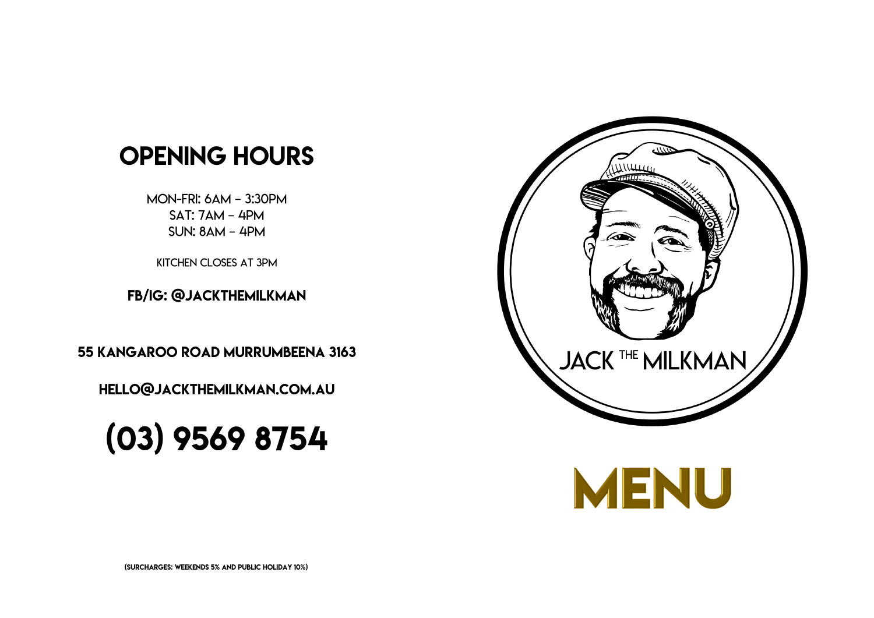



# Opening hours

Mon-Fri: 6am – 3:30pm Sat: 7am – 4pm Sun: 8am – 4pm

55 Kangaroo Road Murrumbeena 3163

 $\overline{a}$ —<br>∫ Hello@jackthemilkman.com.au

## $\overline{\phantom{a}}$ (03) 9569 8754

Kitchen closes at 3pm

FB/IG: @jackthemilkman

(Surcharges: Weekends 5% and Public Holiday 10%)